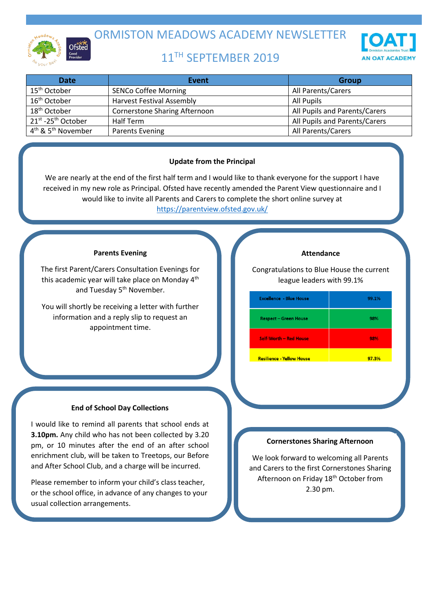

ORMISTON MEADOWS ACADEMY NEWSLETTER

# 11TH SEPTEMBER 2019



| <b>Date</b>                                | Event                                | <b>Group</b>                  |
|--------------------------------------------|--------------------------------------|-------------------------------|
| 15 <sup>th</sup> October                   | <b>SENCo Coffee Morning</b>          | All Parents/Carers            |
| 16 <sup>th</sup> October                   | <b>Harvest Festival Assembly</b>     | All Pupils                    |
| 18 <sup>th</sup> October                   | <b>Cornerstone Sharing Afternoon</b> | All Pupils and Parents/Carers |
| 21st -25th October                         | Half Term                            | All Pupils and Parents/Carers |
| $4^{\text{th}}$ & 5 <sup>th</sup> November | Parents Evening                      | All Parents/Carers            |

# **Update from the Principal**

We are nearly at the end of the first half term and I would like to thank everyone for the support I have received in my new role as Principal. Ofsted have recently amended the Parent View questionnaire and I would like to invite all Parents and Carers to complete the short online survey at <https://parentview.ofsted.gov.uk/>

## **Parents Evening**

The first Parent/Carers Consultation Evenings for this academic year will take place on Monday 4<sup>th</sup> and Tuesday 5<sup>th</sup> November.

You will shortly be receiving a letter with further information and a reply slip to request an appointment time.

# **End of School Day Collections**

I would like to remind all parents that school ends at **3.10pm.** Any child who has not been collected by 3.20 pm, or 10 minutes after the end of an after school enrichment club, will be taken to Treetops, our Before and After School Club, and a charge will be incurred.

Please remember to inform your child's class teacher, or the school office, in advance of any changes to your usual collection arrangements.

#### **Attendance**

Congratulations to Blue House the current league leaders with 99.1%

| <b>Excellence - Blue House</b>   | 99.1% |
|----------------------------------|-------|
| <b>Respect - Green House</b>     | 98%   |
| <b>Self-Worth - Red House</b>    | 98%   |
| <b>Resilience - Yellow House</b> | 97.3% |

#### **Cornerstones Sharing Afternoon**

We look forward to welcoming all Parents and Carers to the first Cornerstones Sharing Afternoon on Friday 18<sup>th</sup> October from 2.30 pm.